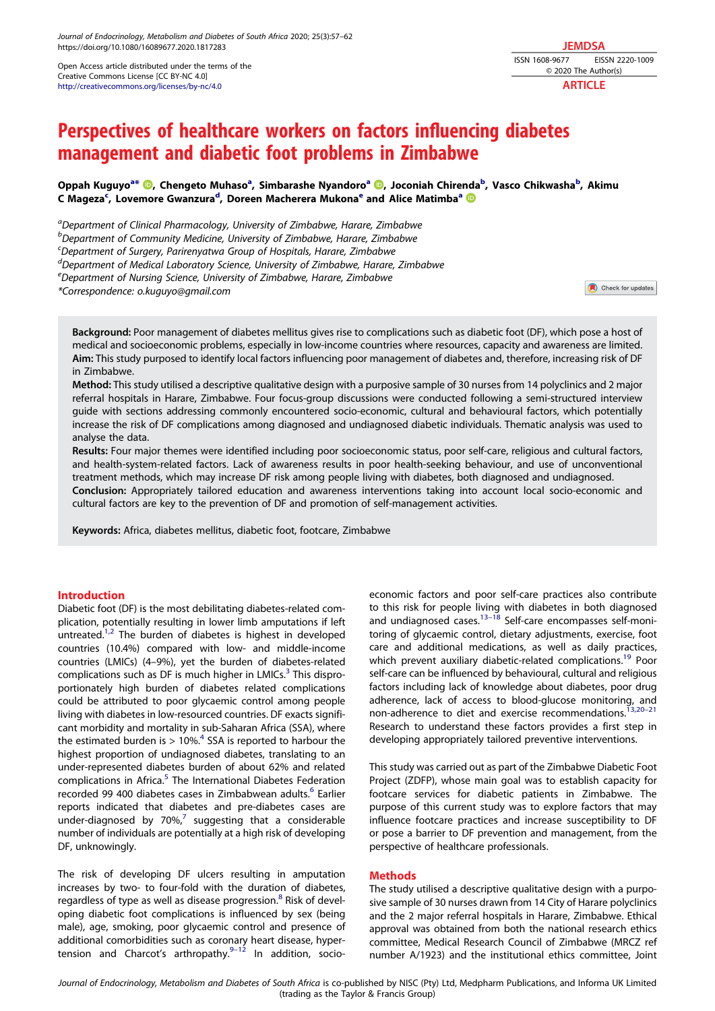Open Access article distributed under the terms of the Creative Commons License [CC BY-NC 4.0] http://creativecommons.org/licenses/by-nc/4.0

**JEMDSA** ISSN 1608-9677 EISSN 2220-1009 © 2020 The Author(s) **ARTICLE** 

# Perspectives of healthcare workers on factors influencing diabetes management and diabetic foot problems in Zimbabwe

Oppah Kuguyo<sup>a\*</sup> <sup>®</sup>, Chengeto Muhaso<sup>a</sup>, Simbarashe Nyandoro<sup>a ®</sup>, Joconiah Chirenda<sup>b</sup>, Vasco Chikwasha<sup>b</sup>, Akimu C Mageza<sup>c</sup>, Lovemore Gwanzura<sup>d</sup>, Doreen Macherera Mukona<sup>e</sup> and Alice Matimba<sup>a</sup>

<sup>a</sup>Department of Clinical Pharmacology, University of Zimbabwe, Harare, Zimbabwe

<sup>b</sup>Department of Community Medicine, University of Zimbabwe, Harare, Zimbabwe

<sup>c</sup> Department of Surgery, Parirenyatwa Group of Hospitals, Harare, Zimbabwe

<sup>d</sup> Department of Medical Laboratory Science, University of Zimbabwe, Harare, Zimbabwe

<sup>e</sup>Department of Nursing Science, University of Zimbabwe, Harare, Zimbabwe

\*Correspondence: o.kuguyo@gmail.com

Check for updates

Background: Poor management of diabetes mellitus gives rise to complications such as diabetic foot (DF), which pose a host of medical and socioeconomic problems, especially in low-income countries where resources, capacity and awareness are limited. Aim: This study purposed to identify local factors influencing poor management of diabetes and, therefore, increasing risk of DF in Zimbabwe.

Method: This study utilised a descriptive qualitative design with a purposive sample of 30 nurses from 14 polyclinics and 2 major referral hospitals in Harare, Zimbabwe. Four focus-group discussions were conducted following a semi-structured interview guide with sections addressing commonly encountered socio-economic, cultural and behavioural factors, which potentially increase the risk of DF complications among diagnosed and undiagnosed diabetic individuals. Thematic analysis was used to analyse the data.

Results: Four major themes were identified including poor socioeconomic status, poor self-care, religious and cultural factors, and health-system-related factors. Lack of awareness results in poor health-seeking behaviour, and use of unconventional treatment methods, which may increase DF risk among people living with diabetes, both diagnosed and undiagnosed. Conclusion: Appropriately tailored education and awareness interventions taking into account local socio-economic and cultural factors are key to the prevention of DF and promotion of self-management activities.

Keywords: Africa, diabetes mellitus, diabetic foot, footcare, Zimbabwe

## Introduction

Diabetic foot (DF) is the most debilitating diabetes-related complication, potentially resulting in lower limb amputations if left untreated.<sup>1,2</sup> The burden of diabetes is highest in developed countries (10.4%) compared with low- and middle-income countries (LMICs) (4–9%), yet the burden of diabetes-related complications such as DF is much higher in LMICs.<sup>3</sup> This disproportionately high burden of diabetes related complications could be attributed to poor glycaemic control among people living with diabetes in low-resourced countries. DF exacts significant morbidity and mortality in sub-Saharan Africa (SSA), where the estimated burden is  $> 10\%$ <sup>4</sup> SSA is reported to harbour the highest proportion of undiagnosed diabetes, translating to an under-represented diabetes burden of about 62% and related complications in Africa.<sup>5</sup> The International Diabetes Federation recorded 99 400 diabetes cases in Zimbabwean adults.<sup>6</sup> Earlier reports indicated that diabetes and pre-diabetes cases are under-diagnosed by  $70\%$ , suggesting that a considerable number of individuals are potentially at a high risk of developing DF, unknowingly.

The risk of developing DF ulcers resulting in amputation increases by two- to four-fold with the duration of diabetes, regardless of type as well as disease progression.<sup>8</sup> Risk of developing diabetic foot complications is influenced by sex (being male), age, smoking, poor glycaemic control and presence of additional comorbidities such as coronary heart disease, hypertension and Charcot's arthropathy. $9-12$  In addition, socioeconomic factors and poor self-care practices also contribute to this risk for people living with diabetes in both diagnosed and undiagnosed cases.<sup>13-18</sup> Self-care encompasses self-monitoring of glycaemic control, dietary adjustments, exercise, foot care and additional medications, as well as daily practices, which prevent auxiliary diabetic-related complications.<sup>19</sup> Poor self-care can be influenced by behavioural, cultural and religious factors including lack of knowledge about diabetes, poor drug adherence, lack of access to blood-glucose monitoring, and non-adherence to diet and exercise recommendations.<sup>13,20-21</sup> Research to understand these factors provides a first step in developing appropriately tailored preventive interventions.

This study was carried out as part of the Zimbabwe Diabetic Foot Project (ZDFP), whose main goal was to establish capacity for footcare services for diabetic patients in Zimbabwe. The purpose of this current study was to explore factors that may influence footcare practices and increase susceptibility to DF or pose a barrier to DF prevention and management, from the perspective of healthcare professionals.

## **Methods**

The study utilised a descriptive qualitative design with a purposive sample of 30 nurses drawn from 14 City of Harare polyclinics and the 2 major referral hospitals in Harare, Zimbabwe. Ethical approval was obtained from both the national research ethics committee, Medical Research Council of Zimbabwe (MRCZ ref number A/1923) and the institutional ethics committee, Joint

Journal of Endocrinology, Metabolism and Diabetes of South Africa is co-published by NISC (Pty) Ltd, Medpharm Publications, and Informa UK Limited (trading as the Taylor & Francis Group)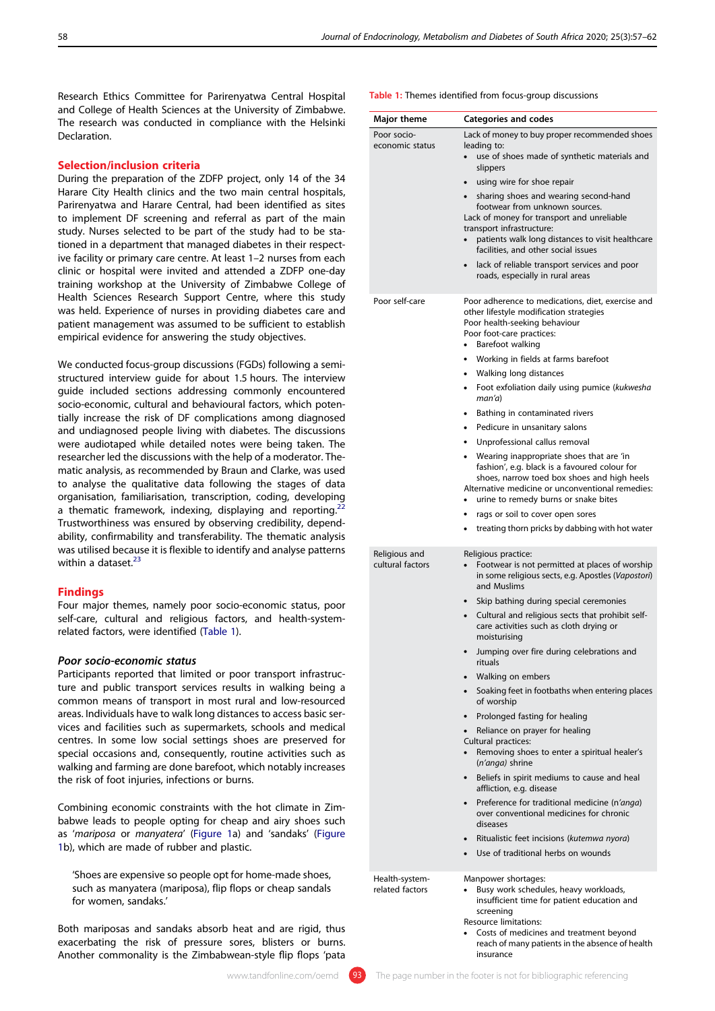Research Ethics Committee for Parirenyatwa Central Hospital and College of Health Sciences at the University of Zimbabwe. The research was conducted in compliance with the Helsinki **Declaration** 

## Selection/inclusion criteria

During the preparation of the ZDFP project, only 14 of the 34 Harare City Health clinics and the two main central hospitals, Parirenyatwa and Harare Central, had been identified as sites to implement DF screening and referral as part of the main study. Nurses selected to be part of the study had to be stationed in a department that managed diabetes in their respective facility or primary care centre. At least 1–2 nurses from each clinic or hospital were invited and attended a ZDFP one-day training workshop at the University of Zimbabwe College of Health Sciences Research Support Centre, where this study was held. Experience of nurses in providing diabetes care and patient management was assumed to be sufficient to establish empirical evidence for answering the study objectives.

We conducted focus-group discussions (FGDs) following a semistructured interview guide for about 1.5 hours. The interview guide included sections addressing commonly encountered socio-economic, cultural and behavioural factors, which potentially increase the risk of DF complications among diagnosed and undiagnosed people living with diabetes. The discussions were audiotaped while detailed notes were being taken. The researcher led the discussions with the help of a moderator. Thematic analysis, as recommended by Braun and Clarke, was used to analyse the qualitative data following the stages of data organisation, familiarisation, transcription, coding, developing a thematic framework, indexing, displaying and reporting. Trustworthiness was ensured by observing credibility, dependability, confirmability and transferability. The thematic analysis was utilised because it is flexible to identify and analyse patterns within a dataset.<sup>23</sup>

## Findings

Four major themes, namely poor socio-economic status, poor self-care, cultural and religious factors, and health-systemrelated factors, were identified (Table 1).

## Poor socio-economic status

Participants reported that limited or poor transport infrastructure and public transport services results in walking being a common means of transport in most rural and low-resourced areas. Individuals have to walk long distances to access basic services and facilities such as supermarkets, schools and medical centres. In some low social settings shoes are preserved for special occasions and, consequently, routine activities such as walking and farming are done barefoot, which notably increases the risk of foot injuries, infections or burns.

Combining economic constraints with the hot climate in Zimbabwe leads to people opting for cheap and airy shoes such as 'mariposa or manyatera' (Figure 1a) and 'sandaks' (Figure 1b), which are made of rubber and plastic.

'Shoes are expensive so people opt for home-made shoes, such as manyatera (mariposa), flip flops or cheap sandals for women, sandaks.'

Both mariposas and sandaks absorb heat and are rigid, thus exacerbating the risk of pressure sores, blisters or burns. Another commonality is the Zimbabwean-style flip flops 'pata

Table 1: Themes identified from focus-group discussions

| <b>Major theme</b>                | <b>Categories and codes</b>                                                                                                                                                                                                                                |
|-----------------------------------|------------------------------------------------------------------------------------------------------------------------------------------------------------------------------------------------------------------------------------------------------------|
| Poor socio-<br>economic status    | Lack of money to buy proper recommended shoes<br>leading to:                                                                                                                                                                                               |
|                                   | use of shoes made of synthetic materials and<br>$\bullet$<br>slippers                                                                                                                                                                                      |
|                                   | using wire for shoe repair<br>$\bullet$                                                                                                                                                                                                                    |
|                                   | sharing shoes and wearing second-hand<br>$\bullet$<br>footwear from unknown sources.<br>Lack of money for transport and unreliable<br>transport infrastructure:<br>patients walk long distances to visit healthcare<br>facilities, and other social issues |
|                                   | lack of reliable transport services and poor<br>$\bullet$<br>roads, especially in rural areas                                                                                                                                                              |
| Poor self-care                    | Poor adherence to medications, diet, exercise and<br>other lifestyle modification strategies<br>Poor health-seeking behaviour<br>Poor foot-care practices:<br>Barefoot walking<br>٠                                                                        |
|                                   | Working in fields at farms barefoot<br>٠                                                                                                                                                                                                                   |
|                                   | Walking long distances<br>٠                                                                                                                                                                                                                                |
|                                   | Foot exfoliation daily using pumice (kukwesha<br>٠<br>man(a)                                                                                                                                                                                               |
|                                   | Bathing in contaminated rivers<br>٠                                                                                                                                                                                                                        |
|                                   | Pedicure in unsanitary salons<br>٠                                                                                                                                                                                                                         |
|                                   | Unprofessional callus removal<br>٠                                                                                                                                                                                                                         |
|                                   | Wearing inappropriate shoes that are 'in<br>٠<br>fashion', e.g. black is a favoured colour for<br>shoes, narrow toed box shoes and high heels<br>Alternative medicine or unconventional remedies:                                                          |
|                                   | urine to remedy burns or snake bites                                                                                                                                                                                                                       |
|                                   | rags or soil to cover open sores<br>٠<br>treating thorn pricks by dabbing with hot water                                                                                                                                                                   |
| Religious and<br>cultural factors | Religious practice:<br>Footwear is not permitted at places of worship<br>in some religious sects, e.g. Apostles (Vapostori)<br>and Muslims                                                                                                                 |
|                                   | Skip bathing during special ceremonies                                                                                                                                                                                                                     |
|                                   | Cultural and religious sects that prohibit self-<br>care activities such as cloth drying or<br>moisturising                                                                                                                                                |
|                                   | Jumping over fire during celebrations and<br>rituals                                                                                                                                                                                                       |
|                                   | Walking on embers<br>$\bullet$                                                                                                                                                                                                                             |
|                                   | Soaking feet in footbaths when entering places<br>$\bullet$<br>of worship                                                                                                                                                                                  |
|                                   | Prolonged fasting for healing                                                                                                                                                                                                                              |
|                                   | Reliance on prayer for healing<br>Cultural practices:<br>Removing shoes to enter a spiritual healer's<br>(n'anga) shrine                                                                                                                                   |
|                                   | Beliefs in spirit mediums to cause and heal<br>$\bullet$<br>affliction, e.g. disease                                                                                                                                                                       |
|                                   | Preference for traditional medicine (n'anga)<br>over conventional medicines for chronic<br>diseases                                                                                                                                                        |
|                                   | Ritualistic feet incisions (kutemwa nyora)<br>Use of traditional herbs on wounds                                                                                                                                                                           |
| Health-system-<br>related factors | Manpower shortages:<br>Busy work schedules, heavy workloads,<br>insufficient time for patient education and<br>screening<br><b>Resource limitations:</b><br>Costs of medicines and treatment beyond                                                        |
|                                   | reach of many patients in the absence of health<br>insurance                                                                                                                                                                                               |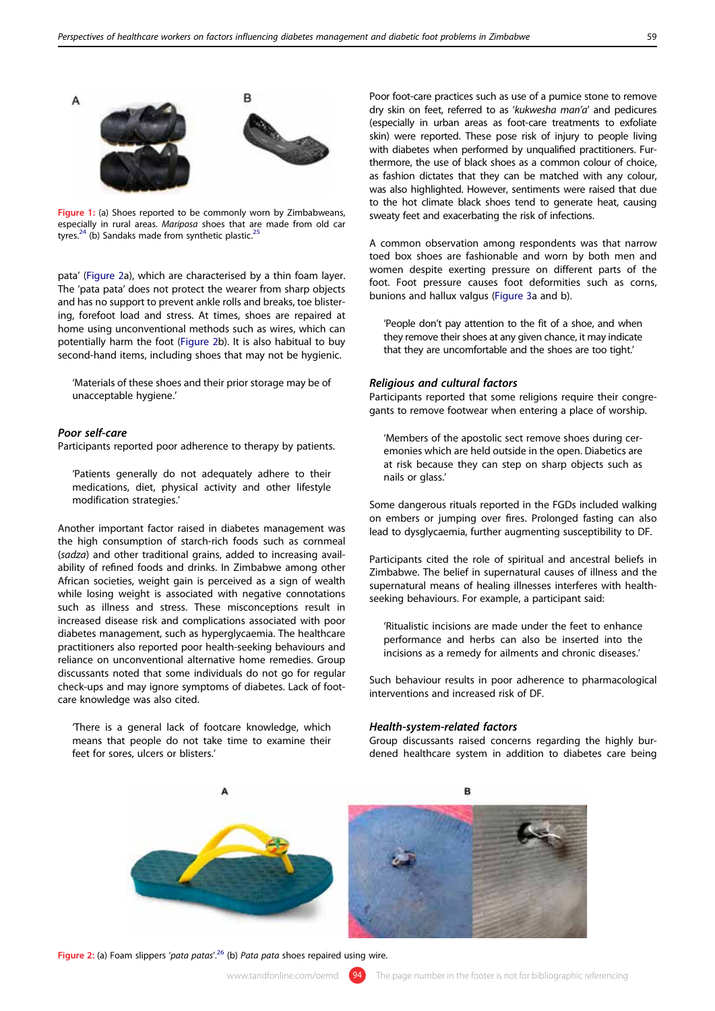

Figure 1: (a) Shoes reported to be commonly worn by Zimbabweans, especially in rural areas. *Mariposa* shoes that are made from old car<br>tyres.<sup>24</sup> (b) Sandaks made from synthetic plastic.<sup>25</sup>

pata' (Figure 2a), which are characterised by a thin foam layer. The 'pata pata' does not protect the wearer from sharp objects and has no support to prevent ankle rolls and breaks, toe blistering, forefoot load and stress. At times, shoes are repaired at home using unconventional methods such as wires, which can potentially harm the foot (Figure 2b). It is also habitual to buy second-hand items, including shoes that may not be hygienic.

'Materials of these shoes and their prior storage may be of unacceptable hygiene.'

## Poor self-care

Participants reported poor adherence to therapy by patients.

'Patients generally do not adequately adhere to their medications, diet, physical activity and other lifestyle modification strategies.'

Another important factor raised in diabetes management was the high consumption of starch-rich foods such as cornmeal (sadza) and other traditional grains, added to increasing availability of refined foods and drinks. In Zimbabwe among other African societies, weight gain is perceived as a sign of wealth while losing weight is associated with negative connotations such as illness and stress. These misconceptions result in increased disease risk and complications associated with poor diabetes management, such as hyperglycaemia. The healthcare practitioners also reported poor health-seeking behaviours and reliance on unconventional alternative home remedies. Group discussants noted that some individuals do not go for regular check-ups and may ignore symptoms of diabetes. Lack of footcare knowledge was also cited.

'There is a general lack of footcare knowledge, which means that people do not take time to examine their feet for sores, ulcers or blisters.'

Poor foot-care practices such as use of a pumice stone to remove dry skin on feet, referred to as 'kukwesha man'a' and pedicures (especially in urban areas as foot-care treatments to exfoliate skin) were reported. These pose risk of injury to people living with diabetes when performed by unqualified practitioners. Furthermore, the use of black shoes as a common colour of choice, as fashion dictates that they can be matched with any colour, was also highlighted. However, sentiments were raised that due to the hot climate black shoes tend to generate heat, causing sweaty feet and exacerbating the risk of infections.

A common observation among respondents was that narrow toed box shoes are fashionable and worn by both men and women despite exerting pressure on different parts of the foot. Foot pressure causes foot deformities such as corns, bunions and hallux valgus (Figure 3a and b).

'People don't pay attention to the fit of a shoe, and when they remove their shoes at any given chance, it may indicate that they are uncomfortable and the shoes are too tight.'

#### Religious and cultural factors

Participants reported that some religions require their congregants to remove footwear when entering a place of worship.

'Members of the apostolic sect remove shoes during ceremonies which are held outside in the open. Diabetics are at risk because they can step on sharp objects such as nails or glass.'

Some dangerous rituals reported in the FGDs included walking on embers or jumping over fires. Prolonged fasting can also lead to dysglycaemia, further augmenting susceptibility to DF.

Participants cited the role of spiritual and ancestral beliefs in Zimbabwe. The belief in supernatural causes of illness and the supernatural means of healing illnesses interferes with healthseeking behaviours. For example, a participant said:

'Ritualistic incisions are made under the feet to enhance performance and herbs can also be inserted into the incisions as a remedy for ailments and chronic diseases.'

Such behaviour results in poor adherence to pharmacological interventions and increased risk of DF.

## Health-system-related factors

Group discussants raised concerns regarding the highly burdened healthcare system in addition to diabetes care being



Figure 2: (a) Foam slippers 'pata patas'.<sup>26</sup> (b) Pata pata shoes repaired using wire.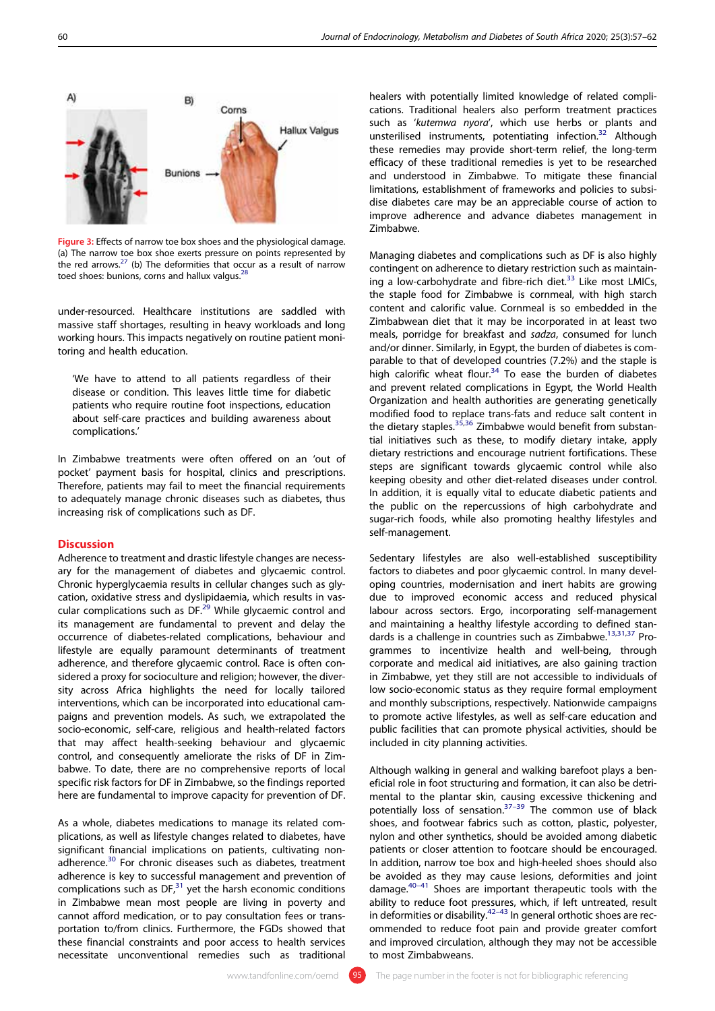

Figure 3: Effects of narrow toe box shoes and the physiological damage. (a) The narrow toe box shoe exerts pressure on points represented by the red arrows.<sup>27</sup> (b) The deformities that occur as a result of narrow toed shoes: bunions, corns and hallux valgus.<sup>2</sup>

under-resourced. Healthcare institutions are saddled with massive staff shortages, resulting in heavy workloads and long working hours. This impacts negatively on routine patient monitoring and health education.

'We have to attend to all patients regardless of their disease or condition. This leaves little time for diabetic patients who require routine foot inspections, education about self-care practices and building awareness about complications.'

In Zimbabwe treatments were often offered on an 'out of pocket' payment basis for hospital, clinics and prescriptions. Therefore, patients may fail to meet the financial requirements to adequately manage chronic diseases such as diabetes, thus increasing risk of complications such as DF.

## Discussion

Adherence to treatment and drastic lifestyle changes are necessary for the management of diabetes and glycaemic control. Chronic hyperglycaemia results in cellular changes such as glycation, oxidative stress and dyslipidaemia, which results in vascular complications such as DF.<sup>29</sup> While glycaemic control and its management are fundamental to prevent and delay the occurrence of diabetes-related complications, behaviour and lifestyle are equally paramount determinants of treatment adherence, and therefore glycaemic control. Race is often considered a proxy for socioculture and religion; however, the diversity across Africa highlights the need for locally tailored interventions, which can be incorporated into educational campaigns and prevention models. As such, we extrapolated the socio-economic, self-care, religious and health-related factors that may affect health-seeking behaviour and glycaemic control, and consequently ameliorate the risks of DF in Zimbabwe. To date, there are no comprehensive reports of local specific risk factors for DF in Zimbabwe, so the findings reported here are fundamental to improve capacity for prevention of DF.

As a whole, diabetes medications to manage its related complications, as well as lifestyle changes related to diabetes, have significant financial implications on patients, cultivating nonadherence.<sup>30</sup> For chronic diseases such as diabetes, treatment adherence is key to successful management and prevention of complications such as  $DF<sub>1</sub><sup>31</sup>$  yet the harsh economic conditions in Zimbabwe mean most people are living in poverty and cannot afford medication, or to pay consultation fees or transportation to/from clinics. Furthermore, the FGDs showed that these financial constraints and poor access to health services necessitate unconventional remedies such as traditional

healers with potentially limited knowledge of related complications. Traditional healers also perform treatment practices such as 'kutemwa nyora', which use herbs or plants and unsterilised instruments, potentiating infection.<sup>32</sup> Although these remedies may provide short-term relief, the long-term efficacy of these traditional remedies is yet to be researched and understood in Zimbabwe. To mitigate these financial limitations, establishment of frameworks and policies to subsidise diabetes care may be an appreciable course of action to improve adherence and advance diabetes management in Zimbabwe.

Managing diabetes and complications such as DF is also highly contingent on adherence to dietary restriction such as maintaining a low-carbohydrate and fibre-rich diet. $33$  Like most LMICs, the staple food for Zimbabwe is cornmeal, with high starch content and calorific value. Cornmeal is so embedded in the Zimbabwean diet that it may be incorporated in at least two meals, porridge for breakfast and sadza, consumed for lunch and/or dinner. Similarly, in Egypt, the burden of diabetes is comparable to that of developed countries (7.2%) and the staple is high calorific wheat flour.<sup>34</sup> To ease the burden of diabetes and prevent related complications in Egypt, the World Health Organization and health authorities are generating genetically modified food to replace trans-fats and reduce salt content in the dietary staples. $35,36$  Zimbabwe would benefit from substantial initiatives such as these, to modify dietary intake, apply dietary restrictions and encourage nutrient fortifications. These steps are significant towards glycaemic control while also keeping obesity and other diet-related diseases under control. In addition, it is equally vital to educate diabetic patients and the public on the repercussions of high carbohydrate and sugar-rich foods, while also promoting healthy lifestyles and self-management.

Sedentary lifestyles are also well-established susceptibility factors to diabetes and poor glycaemic control. In many developing countries, modernisation and inert habits are growing due to improved economic access and reduced physical labour across sectors. Ergo, incorporating self-management and maintaining a healthy lifestyle according to defined standards is a challenge in countries such as Zimbabwe.<sup>13,31,37</sup> Programmes to incentivize health and well-being, through corporate and medical aid initiatives, are also gaining traction in Zimbabwe, yet they still are not accessible to individuals of low socio-economic status as they require formal employment and monthly subscriptions, respectively. Nationwide campaigns to promote active lifestyles, as well as self-care education and public facilities that can promote physical activities, should be included in city planning activities.

Although walking in general and walking barefoot plays a beneficial role in foot structuring and formation, it can also be detrimental to the plantar skin, causing excessive thickening and potentially loss of sensation. $37-39$  The common use of black shoes, and footwear fabrics such as cotton, plastic, polyester, nylon and other synthetics, should be avoided among diabetic patients or closer attention to footcare should be encouraged. In addition, narrow toe box and high-heeled shoes should also be avoided as they may cause lesions, deformities and joint damage. $40-41$  Shoes are important therapeutic tools with the ability to reduce foot pressures, which, if left untreated, result in deformities or disability.<sup>42–43</sup> In general orthotic shoes are recommended to reduce foot pain and provide greater comfort and improved circulation, although they may not be accessible to most Zimbabweans.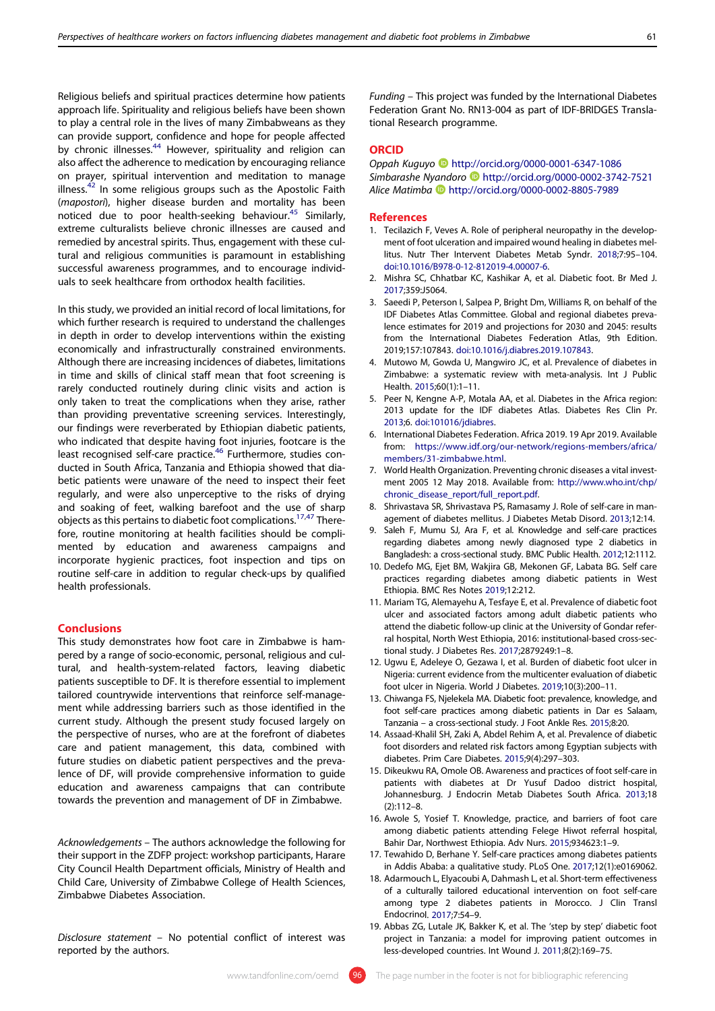Religious beliefs and spiritual practices determine how patients approach life. Spirituality and religious beliefs have been shown to play a central role in the lives of many Zimbabweans as they can provide support, confidence and hope for people affected by chronic illnesses.<sup>44</sup> However, spirituality and religion can also affect the adherence to medication by encouraging reliance on prayer, spiritual intervention and meditation to manage illness. $42$  In some religious groups such as the Apostolic Faith (mapostori), higher disease burden and mortality has been noticed due to poor health-seeking behaviour.<sup>45</sup> Similarly, extreme culturalists believe chronic illnesses are caused and remedied by ancestral spirits. Thus, engagement with these cultural and religious communities is paramount in establishing successful awareness programmes, and to encourage individuals to seek healthcare from orthodox health facilities.

In this study, we provided an initial record of local limitations, for which further research is required to understand the challenges in depth in order to develop interventions within the existing economically and infrastructurally constrained environments. Although there are increasing incidences of diabetes, limitations in time and skills of clinical staff mean that foot screening is rarely conducted routinely during clinic visits and action is only taken to treat the complications when they arise, rather than providing preventative screening services. Interestingly, our findings were reverberated by Ethiopian diabetic patients, who indicated that despite having foot injuries, footcare is the least recognised self-care practice.<sup>46</sup> Furthermore, studies conducted in South Africa, Tanzania and Ethiopia showed that diabetic patients were unaware of the need to inspect their feet regularly, and were also unperceptive to the risks of drying and soaking of feet, walking barefoot and the use of sharp objects as this pertains to diabetic foot complications.<sup>17,47</sup> Therefore, routine monitoring at health facilities should be complimented by education and awareness campaigns and incorporate hygienic practices, foot inspection and tips on routine self-care in addition to regular check-ups by qualified health professionals.

## Conclusions

This study demonstrates how foot care in Zimbabwe is hampered by a range of socio-economic, personal, religious and cultural, and health-system-related factors, leaving diabetic patients susceptible to DF. It is therefore essential to implement tailored countrywide interventions that reinforce self-management while addressing barriers such as those identified in the current study. Although the present study focused largely on the perspective of nurses, who are at the forefront of diabetes care and patient management, this data, combined with future studies on diabetic patient perspectives and the prevalence of DF, will provide comprehensive information to guide education and awareness campaigns that can contribute towards the prevention and management of DF in Zimbabwe.

Acknowledgements – The authors acknowledge the following for their support in the ZDFP project: workshop participants, Harare City Council Health Department officials, Ministry of Health and Child Care, University of Zimbabwe College of Health Sciences, Zimbabwe Diabetes Association.

Disclosure statement – No potential conflict of interest was reported by the authors.

Funding – This project was funded by the International Diabetes Federation Grant No. RN13-004 as part of IDF-BRIDGES Translational Research programme.

## **ORCID**

Oppah Kuguyo http://orcid.org/0000-0001-6347-1086 Simbarashe Nyandoro http://orcid.org/0000-0002-3742-7521 Alice Matimba http://orcid.org/0000-0002-8805-7989

#### **References**

- 1. Tecilazich F, Veves A. Role of peripheral neuropathy in the development of foot ulceration and impaired wound healing in diabetes mellitus. Nutr Ther Intervent Diabetes Metab Syndr. 2018;7:95–104. doi:10.1016/B978-0-12-812019-4.00007-6.
- 2. Mishra SC, Chhatbar KC, Kashikar A, et al. Diabetic foot. Br Med J. 2017;359:J5064.
- 3. Saeedi P, Peterson I, Salpea P, Bright Dm, Williams R, on behalf of the IDF Diabetes Atlas Committee. Global and regional diabetes prevalence estimates for 2019 and projections for 2030 and 2045: results from the International Diabetes Federation Atlas, 9th Edition. 2019;157:107843. doi:10.1016/j.diabres.2019.107843.
- 4. Mutowo M, Gowda U, Mangwiro JC, et al. Prevalence of diabetes in Zimbabwe: a systematic review with meta-analysis. Int J Public Health. 2015;60(1):1–11.
- 5. Peer N, Kengne A-P, Motala AA, et al. Diabetes in the Africa region: 2013 update for the IDF diabetes Atlas. Diabetes Res Clin Pr. 2013;6. doi:101016/jdiabres.
- 6. International Diabetes Federation. Africa 2019. 19 Apr 2019. Available from: https://www.idf.org/our-network/regions-members/africa/ members/31-zimbabwe.html.
- 7. World Health Organization. Preventing chronic diseases a vital investment 2005 12 May 2018. Available from: http://www.who.int/chp/ chronic\_disease\_report/full\_report.pdf.
- 8. Shrivastava SR, Shrivastava PS, Ramasamy J. Role of self-care in management of diabetes mellitus. J Diabetes Metab Disord. 2013;12:14.
- 9. Saleh F, Mumu SJ, Ara F, et al. Knowledge and self-care practices regarding diabetes among newly diagnosed type 2 diabetics in Bangladesh: a cross-sectional study. BMC Public Health. 2012;12:1112.
- 10. Dedefo MG, Ejet BM, Wakjira GB, Mekonen GF, Labata BG. Self care practices regarding diabetes among diabetic patients in West Ethiopia. BMC Res Notes 2019;12:212.
- 11. Mariam TG, Alemayehu A, Tesfaye E, et al. Prevalence of diabetic foot ulcer and associated factors among adult diabetic patients who attend the diabetic follow-up clinic at the University of Gondar referral hospital, North West Ethiopia, 2016: institutional-based cross-sectional study. J Diabetes Res. 2017;2879249:1–8.
- 12. Ugwu E, Adeleye O, Gezawa I, et al. Burden of diabetic foot ulcer in Nigeria: current evidence from the multicenter evaluation of diabetic foot ulcer in Nigeria. World J Diabetes. 2019;10(3):200–11.
- 13. Chiwanga FS, Njelekela MA. Diabetic foot: prevalence, knowledge, and foot self-care practices among diabetic patients in Dar es Salaam, Tanzania – a cross-sectional study. J Foot Ankle Res. 2015;8:20.
- 14. Assaad-Khalil SH, Zaki A, Abdel Rehim A, et al. Prevalence of diabetic foot disorders and related risk factors among Egyptian subjects with diabetes. Prim Care Diabetes. 2015;9(4):297–303.
- 15. Dikeukwu RA, Omole OB. Awareness and practices of foot self-care in patients with diabetes at Dr Yusuf Dadoo district hospital, Johannesburg. J Endocrin Metab Diabetes South Africa. 2013;18 (2):112–8.
- 16. Awole S, Yosief T. Knowledge, practice, and barriers of foot care among diabetic patients attending Felege Hiwot referral hospital, Bahir Dar, Northwest Ethiopia. Adv Nurs. 2015;934623:1–9.
- 17. Tewahido D, Berhane Y. Self-care practices among diabetes patients in Addis Ababa: a qualitative study. PLoS One. 2017;12(1):e0169062.
- 18. Adarmouch L, Elyacoubi A, Dahmash L, et al. Short-term effectiveness of a culturally tailored educational intervention on foot self-care among type 2 diabetes patients in Morocco. J Clin Transl Endocrinol. 2017;7:54–9.
- 19. Abbas ZG, Lutale JK, Bakker K, et al. The 'step by step' diabetic foot project in Tanzania: a model for improving patient outcomes in less-developed countries. Int Wound J. 2011;8(2):169–75.